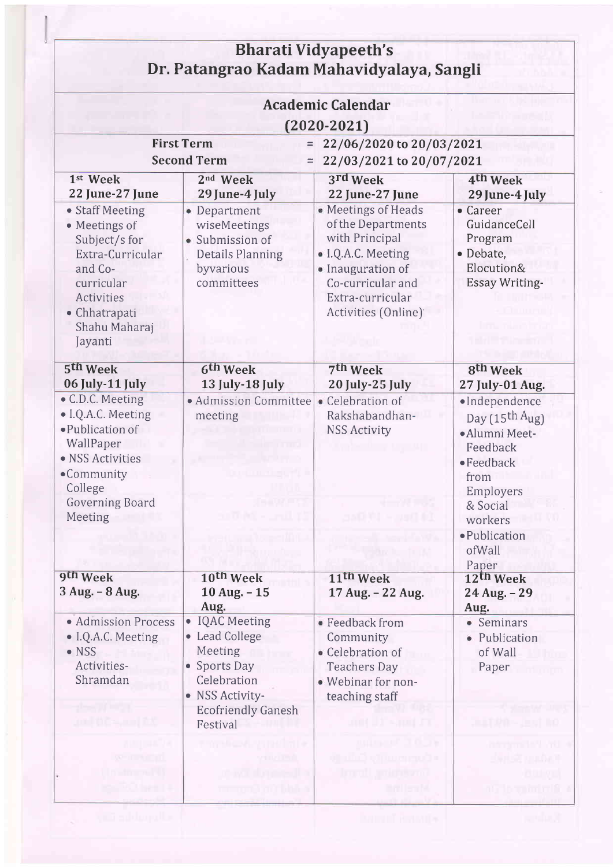| <b>Bharati Vidyapeeth's</b><br>Dr. Patangrao Kadam Mahavidyalaya, Sangli<br><b>Academic Calendar</b><br>$(2020 - 2021)$                                                     |                                                                                                                                                                  |                                                                                                                                                                                     |                                                                                                                                                                                 |  |  |
|-----------------------------------------------------------------------------------------------------------------------------------------------------------------------------|------------------------------------------------------------------------------------------------------------------------------------------------------------------|-------------------------------------------------------------------------------------------------------------------------------------------------------------------------------------|---------------------------------------------------------------------------------------------------------------------------------------------------------------------------------|--|--|
|                                                                                                                                                                             |                                                                                                                                                                  |                                                                                                                                                                                     |                                                                                                                                                                                 |  |  |
| 1st Week<br>22 June-27 June                                                                                                                                                 | 2 <sup>nd</sup> Week<br>29 June-4 July                                                                                                                           | 3rd Week<br>22 June-27 June                                                                                                                                                         | 4th Week<br>29 June-4 July                                                                                                                                                      |  |  |
| • Staff Meeting<br>• Meetings of<br>Subject/s for<br>Extra-Curricular<br>and Co-<br>curricular<br><b>Activities</b><br>• Chhatrapati<br>Shahu Maharaj<br>Jayanti            | • Department<br>wiseMeetings<br>· Submission of<br><b>Details Planning</b><br>byvarious<br>committees                                                            | • Meetings of Heads<br>of the Departments<br>with Principal<br>• I.Q.A.C. Meeting<br>· Inauguration of<br>Co-curricular and<br>Extra-curricular<br>Activities (Online) <sup>.</sup> | • Career<br>GuidanceCell<br>Program<br>· Debate,<br>Elocution&<br><b>Essay Writing-</b>                                                                                         |  |  |
| 5th Week                                                                                                                                                                    | 6 <sup>th</sup> Week                                                                                                                                             | 7th Week                                                                                                                                                                            | <b>8th Week</b>                                                                                                                                                                 |  |  |
| 06 July-11 July<br>• C.D.C. Meeting<br>· I.Q.A.C. Meeting<br>·Publication of<br>WallPaper<br>• NSS Activities<br>•Community<br>College<br><b>Governing Board</b><br>Meeting | 13 July-18 July<br>• Admission Committee • Celebration of<br>meeting                                                                                             | 20 July-25 July<br>Rakshabandhan-<br><b>NSS Activity</b><br>and the search                                                                                                          | 27 July-01 Aug.<br>·Independence<br>Day (15 <sup>th A</sup> ug)<br>·Alumni Meet-<br>Feedback<br>$\bullet$ Feedback<br>from<br>Employers<br>& Social<br>workers<br>· Publication |  |  |
| 9th Week<br>3 Aug. - 8 Aug.                                                                                                                                                 | 10th Week<br>10 Aug. - 15                                                                                                                                        | $11$ th Week<br>17 Aug. - 22 Aug.                                                                                                                                                   | ofWall<br>Paper<br>12th Week<br>24 Aug. - 29                                                                                                                                    |  |  |
| · Admission Process<br>· I.Q.A.C. Meeting<br>$\bullet$ NSS<br>Activities-<br>Shramdan                                                                                       | Aug.<br><b>IQAC</b> Meeting<br>$\bullet$<br>• Lead College<br>Meeting<br>• Sports Day<br>Celebration<br>• NSS Activity-<br><b>Ecofriendly Ganesh</b><br>Festival | • Feedback from<br>Community<br>• Celebration of<br><b>Teachers Day</b><br>· Webinar for non-<br>teaching staff<br>ant II ~ami Ti                                                   | Aug.<br>• Seminars<br>· Publication<br>of Wall<br>Paper<br>TOMO-LEGT BO                                                                                                         |  |  |
| <b>CARD IS AN ISSUE OF</b>                                                                                                                                                  |                                                                                                                                                                  | din Brott to an erath r<br>mult, ministrat<br>ari lark                                                                                                                              | danisë nudert<br>at pagasan ana amin'ny                                                                                                                                         |  |  |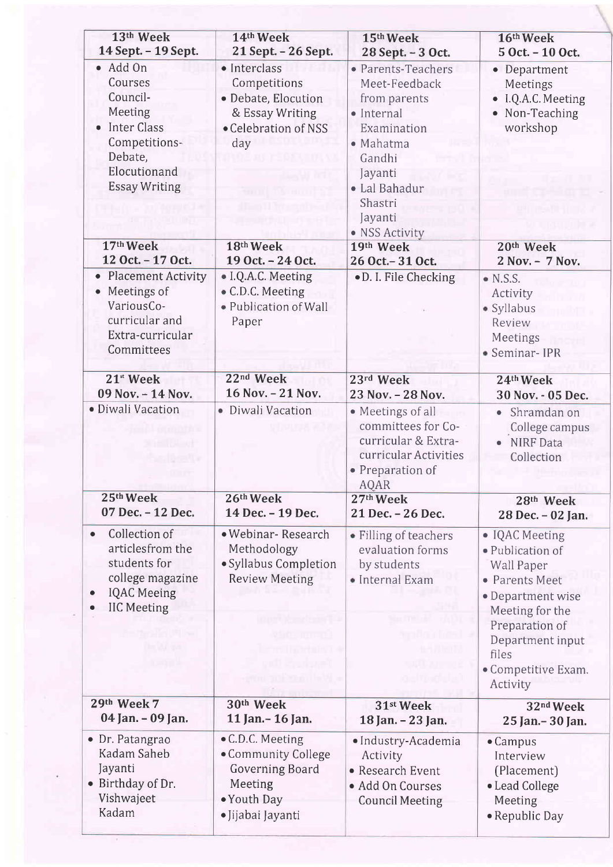| 13th Week                                                                                                                                         | 14th Week                                                                                                                                                                         | 15th Week                                                                                                                                                                   | 16th Week                                                                                                                                                                                           |
|---------------------------------------------------------------------------------------------------------------------------------------------------|-----------------------------------------------------------------------------------------------------------------------------------------------------------------------------------|-----------------------------------------------------------------------------------------------------------------------------------------------------------------------------|-----------------------------------------------------------------------------------------------------------------------------------------------------------------------------------------------------|
| 14 Sept. - 19 Sept.                                                                                                                               | 21 Sept. - 26 Sept.                                                                                                                                                               | 28 Sept. - 3 Oct.                                                                                                                                                           | 5 Oct. - 10 Oct.                                                                                                                                                                                    |
| · Add On<br>Courses<br>Council-<br>Meeting<br><b>Inter Class</b><br>$\bullet$<br>Competitions-<br>Debate,<br>Elocutionand<br><b>Essay Writing</b> | · Interclass<br>Competitions<br>· Debate, Elocution<br>& Essay Writing<br>• Celebration of NSS<br>day                                                                             | • Parents-Teachers<br>Meet-Feedback<br>from parents<br>· Internal<br>Examination<br>· Mahatma<br>Gandhi<br>Jayanti<br>· Lal Bahadur<br>Shastri<br>Jayanti<br>• NSS Activity | • Department<br>Meetings<br>• I.Q.A.C. Meeting<br>• Non-Teaching<br>workshop                                                                                                                        |
| 17th Week                                                                                                                                         | 18th Week                                                                                                                                                                         | 19th Week                                                                                                                                                                   | 20th Week                                                                                                                                                                                           |
| 12 Oct. - 17 Oct.                                                                                                                                 | 19 Oct. - 24 Oct.                                                                                                                                                                 | 26 Oct. - 31 Oct.                                                                                                                                                           | 2 Nov. - 7 Nov.                                                                                                                                                                                     |
| <b>Placement Activity</b><br>$\bullet$<br>Meetings of<br>$\bullet$<br>VariousCo-<br>curricular and<br>Extra-curricular<br>Committees              | • I.Q.A.C. Meeting<br>• C.D.C. Meeting<br>· Publication of Wall<br>Paper                                                                                                          | · D. I. File Checking                                                                                                                                                       | $\bullet$ N.S.S.<br>Activity<br>· Syllabus<br>Review<br>Meetings<br>• Seminar-IPR                                                                                                                   |
| 21 <sup>st</sup> Week                                                                                                                             | 22 <sup>nd</sup> Week                                                                                                                                                             | 23rd Week                                                                                                                                                                   | 24th Week                                                                                                                                                                                           |
| 09 Nov. - 14 Nov.                                                                                                                                 | 16 Nov. - 21 Nov.                                                                                                                                                                 | 23 Nov. - 28 Nov.                                                                                                                                                           | 30 Nov. - 05 Dec.                                                                                                                                                                                   |
| · Diwali Vacation                                                                                                                                 | • Diwali Vacation                                                                                                                                                                 | • Meetings of all<br>committees for Co-<br>curricular & Extra-<br>curricular Activities<br>• Preparation of<br>AQAR                                                         | Shramdan on<br>$\bullet$<br>College campus<br><b>NIRF</b> Data<br>Collection                                                                                                                        |
| 25th Week                                                                                                                                         | 26th Week                                                                                                                                                                         | 27th Week                                                                                                                                                                   | 28th Week                                                                                                                                                                                           |
| 07 Dec. - 12 Dec.                                                                                                                                 | 14 Dec. - 19 Dec.                                                                                                                                                                 | 21 Dec. - 26 Dec.                                                                                                                                                           | 28 Dec. - 02 Jan.                                                                                                                                                                                   |
| Collection of<br>۰<br>articlesfrom the<br>students for<br>college magazine<br><b>IQAC</b> Meeing<br><b>IIC Meeting</b>                            | · Webinar-Research<br>Methodology<br>· Syllabus Completion<br><b>Review Meeting</b><br>u Dynastii järgmat Pannut (19<br><u>ki in mani</u><br>اس المتحد ال<br><u>in vanaal müü</u> | · Filling of teachers<br>evaluation forms<br>by students<br>· Internal Exam                                                                                                 | • IQAC Meeting<br>· Publication of<br><b>Wall Paper</b><br>• Parents Meet<br>· Department wise<br>Meeting for the<br>Preparation of<br>Department input<br>files<br>• Competitive Exam.<br>Activity |
| 29th Week 7                                                                                                                                       | 30th Week                                                                                                                                                                         | 31st Week                                                                                                                                                                   | 32 <sup>nd</sup> Week                                                                                                                                                                               |
| 04 Jan. - 09 Jan.                                                                                                                                 | 11 Jan. - 16 Jan.                                                                                                                                                                 | 18 Jan. - 23 Jan.                                                                                                                                                           | 25 Jan. - 30 Jan.                                                                                                                                                                                   |
| • Dr. Patangrao<br>Kadam Saheb<br>Jayanti<br>• Birthday of Dr.<br>Vishwajeet<br>Kadam                                                             | • C.D.C. Meeting<br>• Community College<br>Governing Board<br>Meeting<br>· Youth Day<br>· Jijabai Jayanti                                                                         | · Industry-Academia<br>Activity<br>• Research Event<br>· Add On Courses<br><b>Council Meeting</b>                                                                           | $\bullet$ Campus<br>Interview<br>(Placement)<br>• Lead College<br>Meeting<br>• Republic Day                                                                                                         |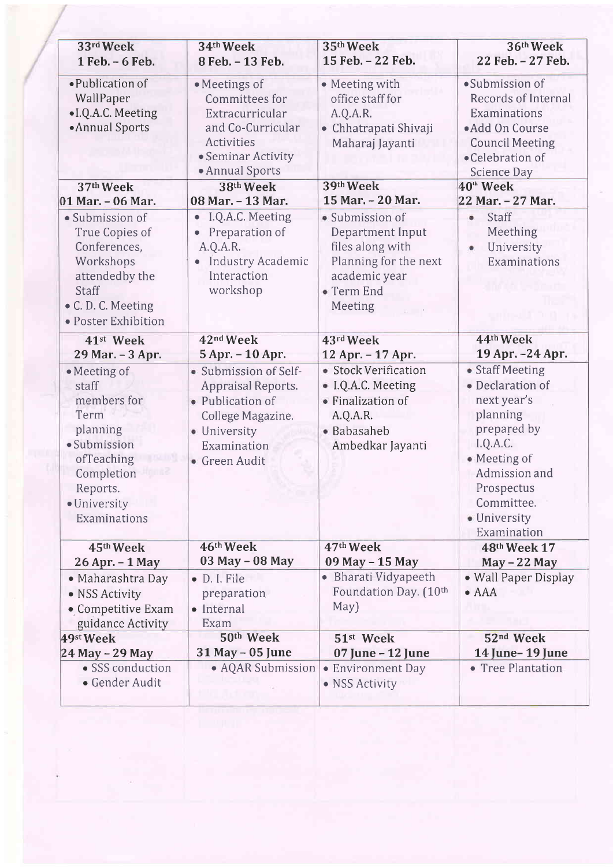| 33rd Week<br>1 Feb. - 6 Feb.                                                                                                                     | 34th Week<br>8 Feb. - 13 Feb.                                                                                                        | 35th Week<br>15 Feb. - 22 Feb.                                                                                             | 36th Week<br>22 Feb. - 27 Feb.                                                                                                                                                        |
|--------------------------------------------------------------------------------------------------------------------------------------------------|--------------------------------------------------------------------------------------------------------------------------------------|----------------------------------------------------------------------------------------------------------------------------|---------------------------------------------------------------------------------------------------------------------------------------------------------------------------------------|
| • Publication of<br>WallPaper<br>• I.Q.A.C. Meeting<br>• Annual Sports                                                                           | · Meetings of<br>Committees for<br>Extracurricular<br>and Co-Curricular<br>Activities<br>• Seminar Activity<br>• Annual Sports       | • Meeting with<br>office staff for<br>A.Q.A.R.<br>• Chhatrapati Shivaji<br>Maharaj Jayanti                                 | ·Submission of<br>Records of Internal<br>Examinations<br>• Add On Course<br><b>Council Meeting</b><br>•Celebration of<br>Science Day                                                  |
| 37th Week<br>01 Mar. - 06 Mar.                                                                                                                   | 38th Week<br>08 Mar. - 13 Mar.                                                                                                       | 39th Week<br>15 Mar. - 20 Mar.                                                                                             | 40 <sup>th</sup> Week<br>22 Mar. - 27 Mar.                                                                                                                                            |
| · Submission of<br>True Copies of<br>Conferences,<br>Workshops<br>attendedby the<br>Staff<br>• C. D. C. Meeting<br>· Poster Exhibition           | I.Q.A.C. Meeting<br>$\bullet$<br>Preparation of<br>A.Q.A.R.<br>Industry Academic<br>Interaction<br>workshop                          | · Submission of<br>Department Input<br>files along with<br>Planning for the next<br>academic year<br>• Term End<br>Meeting | Staff<br>$\bullet$<br>Meething<br>University<br>¢<br>Examinations                                                                                                                     |
| 41st Week<br>29 Mar. - 3 Apr.                                                                                                                    | 42 <sup>nd</sup> Week<br>5 Apr. - 10 Apr.                                                                                            | 43rd Week<br>12 Apr. - 17 Apr.                                                                                             | 44th Week<br>19 Apr. - 24 Apr.                                                                                                                                                        |
| • Meeting of<br>staff<br>members for<br>Term<br>planning<br>· Submission<br>ofTeaching<br>Completion<br>Reports.<br>· University<br>Examinations | · Submission of Self-<br>Appraisal Reports.<br>• Publication of<br>College Magazine.<br>· University<br>Examination<br>• Green Audit | · Stock Verification<br>· I.Q.A.C. Meeting<br>• Finalization of<br>A.Q.A.R.<br>· Babasaheb<br>Ambedkar Jayanti             | • Staff Meeting<br>· Declaration of<br>next year's<br>planning<br>prepared by<br>I.Q.A.C.<br>· Meeting of<br>Admission and<br>Prospectus<br>Committee.<br>· University<br>Examination |
| 45th Week<br>26 Apr. - 1 May                                                                                                                     | 46th Week<br>03 May - 08 May                                                                                                         | 47th Week<br>09 May - 15 May                                                                                               | 48th Week 17<br>$May - 22 May$                                                                                                                                                        |
| • Maharashtra Day<br>• NSS Activity<br>• Competitive Exam<br>guidance Activity                                                                   | · D. I. File<br>preparation<br>· Internal<br>Exam                                                                                    | • Bharati Vidyapeeth<br>Foundation Day. (10th<br>May)                                                                      | • Wall Paper Display<br>$\bullet$ AAA                                                                                                                                                 |
| 49st Week                                                                                                                                        | 50th Week                                                                                                                            | 51 <sup>st</sup> Week                                                                                                      | 52 <sup>nd</sup> Week                                                                                                                                                                 |
| 24 May - 29 May<br>• SSS conduction<br>• Gender Audit                                                                                            | 31 May - 05 June<br>• AQAR Submission                                                                                                | 07 June - 12 June<br>• Environment Day<br>· NSS Activity                                                                   | 14 June-19 June<br>• Tree Plantation                                                                                                                                                  |

 $\langle \hat{a} \rangle$